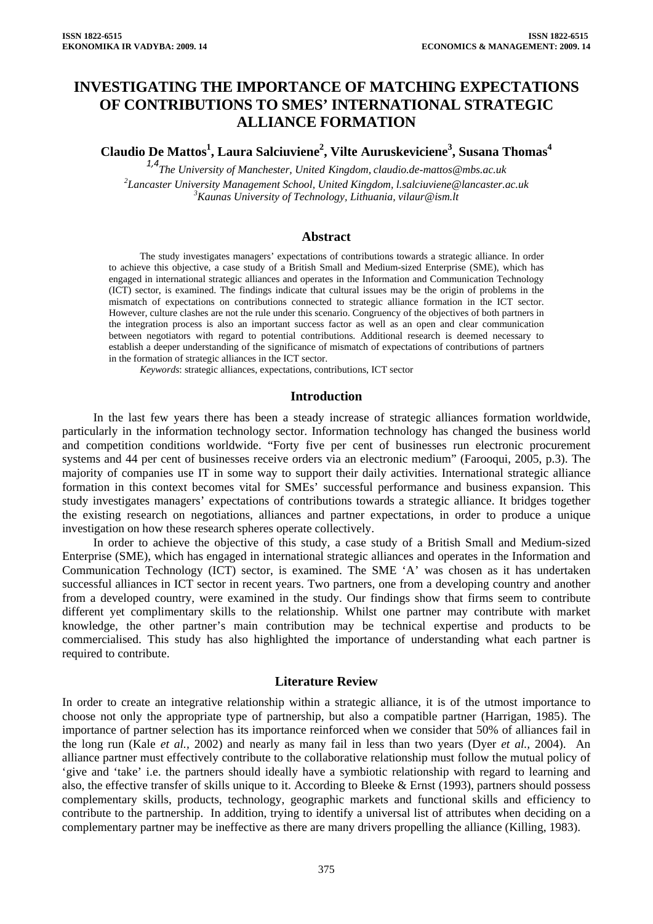# **INVESTIGATING THE IMPORTANCE OF MATCHING EXPECTATIONS OF CONTRIBUTIONS TO SMES' INTERNATIONAL STRATEGIC ALLIANCE FORMATION**

**Claudio De Mattos1 , Laura Salciuviene2 , Vilte Auruskeviciene3 , Susana Thomas<sup>4</sup>**

*1,4The University of Manchester, United Kingdom, [claudio.de-mattos@mbs.ac.uk](mailto:claudio.de-mattos@mbs.ac.uk) 2 Lancaster University Management School, United Kingdo[m, l.salciuviene@lancaster.ac.uk](mailto:,%20l.salciuviene@lancaster.ac.uk) <sup>3</sup> Kaunas University of Technology, Lithuania, vilaur@ism.lt*

#### **Abstract**

The study investigates managers' expectations of contributions towards a strategic alliance. In order to achieve this objective, a case study of a British Small and Medium-sized Enterprise (SME), which has engaged in international strategic alliances and operates in the Information and Communication Technology (ICT) sector, is examined. The findings indicate that cultural issues may be the origin of problems in the mismatch of expectations on contributions connected to strategic alliance formation in the ICT sector. However, culture clashes are not the rule under this scenario. Congruency of the objectives of both partners in the integration process is also an important success factor as well as an open and clear communication between negotiators with regard to potential contributions. Additional research is deemed necessary to establish a deeper understanding of the significance of mismatch of expectations of contributions of partners in the formation of strategic alliances in the ICT sector.

*Keywords*: strategic alliances, expectations, contributions, ICT sector

#### **Introduction**

In the last few years there has been a steady increase of strategic alliances formation worldwide, particularly in the information technology sector. Information technology has changed the business world and competition conditions worldwide. "Forty five per cent of businesses run electronic procurement systems and 44 per cent of businesses receive orders via an electronic medium" (Farooqui, 2005, p.3). The majority of companies use IT in some way to support their daily activities. International strategic alliance formation in this context becomes vital for SMEs' successful performance and business expansion. This study investigates managers' expectations of contributions towards a strategic alliance. It bridges together the existing research on negotiations, alliances and partner expectations, in order to produce a unique investigation on how these research spheres operate collectively.

In order to achieve the objective of this study, a case study of a British Small and Medium-sized Enterprise (SME), which has engaged in international strategic alliances and operates in the Information and Communication Technology (ICT) sector, is examined. The SME 'A' was chosen as it has undertaken successful alliances in ICT sector in recent years. Two partners, one from a developing country and another from a developed country, were examined in the study. Our findings show that firms seem to contribute different yet complimentary skills to the relationship. Whilst one partner may contribute with market knowledge, the other partner's main contribution may be technical expertise and products to be commercialised. This study has also highlighted the importance of understanding what each partner is required to contribute.

### **Literature Review**

In order to create an integrative relationship within a strategic alliance, it is of the utmost importance to choose not only the appropriate type of partnership, but also a compatible partner (Harrigan, 1985). The importance of partner selection has its importance reinforced when we consider that 50% of alliances fail in the long run (Kale *et al.,* 2002) and nearly as many fail in less than two years (Dyer *et al.,* 2004). An alliance partner must effectively contribute to the collaborative relationship must follow the mutual policy of 'give and 'take' i.e. the partners should ideally have a symbiotic relationship with regard to learning and also, the effective transfer of skills unique to it. According to Bleeke & Ernst (1993), partners should possess complementary skills, products, technology, geographic markets and functional skills and efficiency to contribute to the partnership. In addition, trying to identify a universal list of attributes when deciding on a complementary partner may be ineffective as there are many drivers propelling the alliance (Killing, 1983).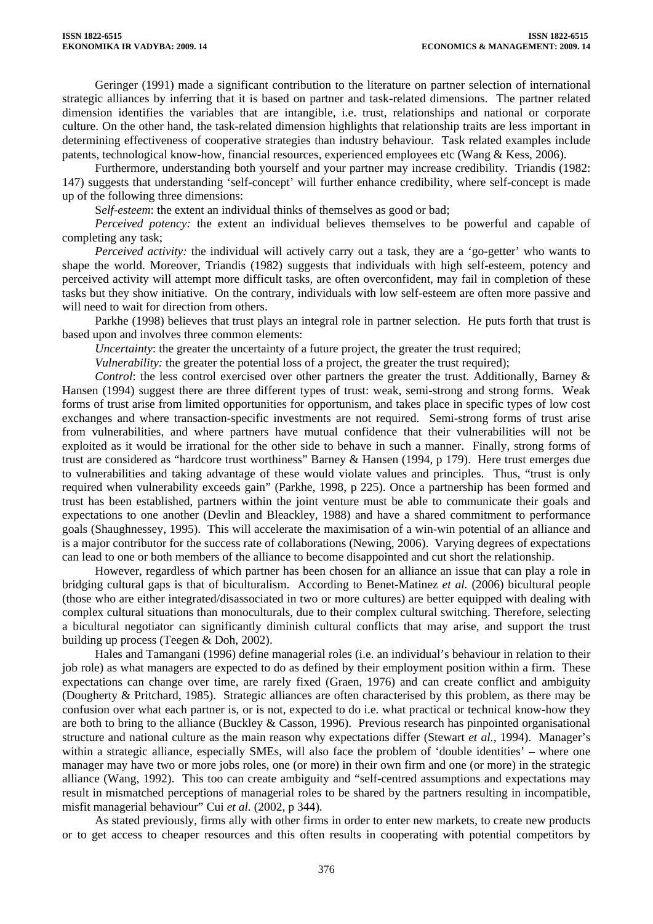Geringer (1991) made a significant contribution to the literature on partner selection of international strategic alliances by inferring that it is based on partner and task-related dimensions. The partner related dimension identifies the variables that are intangible, i.e. trust, relationships and national or corporate culture. On the other hand, the task-related dimension highlights that relationship traits are less important in determining effectiveness of cooperative strategies than industry behaviour. Task related examples include patents, technological know-how, financial resources, experienced employees etc (Wang & Kess, 2006).

Furthermore, understanding both yourself and your partner may increase credibility. Triandis (1982: 147) suggests that understanding 'self-concept' will further enhance credibility, where self-concept is made up of the following three dimensions:

S*elf-esteem*: the extent an individual thinks of themselves as good or bad;

*Perceived potency:* the extent an individual believes themselves to be powerful and capable of completing any task;

*Perceived activity:* the individual will actively carry out a task, they are a 'go-getter' who wants to shape the world. Moreover, Triandis (1982) suggests that individuals with high self-esteem, potency and perceived activity will attempt more difficult tasks, are often overconfident, may fail in completion of these tasks but they show initiative. On the contrary, individuals with low self-esteem are often more passive and will need to wait for direction from others.

Parkhe (1998) believes that trust plays an integral role in partner selection. He puts forth that trust is based upon and involves three common elements:

*Uncertainty*: the greater the uncertainty of a future project, the greater the trust required;

*Vulnerability:* the greater the potential loss of a project, the greater the trust required);

*Control*: the less control exercised over other partners the greater the trust. Additionally, Barney & Hansen (1994) suggest there are three different types of trust: weak, semi-strong and strong forms. Weak forms of trust arise from limited opportunities for opportunism, and takes place in specific types of low cost exchanges and where transaction-specific investments are not required. Semi-strong forms of trust arise from vulnerabilities, and where partners have mutual confidence that their vulnerabilities will not be exploited as it would be irrational for the other side to behave in such a manner. Finally, strong forms of trust are considered as "hardcore trust worthiness" Barney & Hansen (1994, p 179). Here trust emerges due to vulnerabilities and taking advantage of these would violate values and principles. Thus, "trust is only required when vulnerability exceeds gain" (Parkhe, 1998, p 225). Once a partnership has been formed and trust has been established, partners within the joint venture must be able to communicate their goals and expectations to one another (Devlin and Bleackley, 1988) and have a shared commitment to performance goals (Shaughnessey, 1995). This will accelerate the maximisation of a win-win potential of an alliance and is a major contributor for the success rate of collaborations (Newing, 2006). Varying degrees of expectations can lead to one or both members of the alliance to become disappointed and cut short the relationship.

However, regardless of which partner has been chosen for an alliance an issue that can play a role in bridging cultural gaps is that of biculturalism. According to Benet-Matinez *et al.* (2006) bicultural people (those who are either integrated/disassociated in two or more cultures) are better equipped with dealing with complex cultural situations than monoculturals, due to their complex cultural switching. Therefore, selecting a bicultural negotiator can significantly diminish cultural conflicts that may arise, and support the trust building up process (Teegen & Doh, 2002).

Hales and Tamangani (1996) define managerial roles (i.e. an individual's behaviour in relation to their job role) as what managers are expected to do as defined by their employment position within a firm. These expectations can change over time, are rarely fixed (Graen, 1976) and can create conflict and ambiguity (Dougherty & Pritchard, 1985). Strategic alliances are often characterised by this problem, as there may be confusion over what each partner is, or is not, expected to do i.e. what practical or technical know-how they are both to bring to the alliance (Buckley & Casson, 1996). Previous research has pinpointed organisational structure and national culture as the main reason why expectations differ (Stewart *et al.,* 1994). Manager's within a strategic alliance, especially SMEs, will also face the problem of 'double identities' – where one manager may have two or more jobs roles, one (or more) in their own firm and one (or more) in the strategic alliance (Wang, 1992). This too can create ambiguity and "self-centred assumptions and expectations may result in mismatched perceptions of managerial roles to be shared by the partners resulting in incompatible, misfit managerial behaviour" Cui *et al.* (2002, p 344).

As stated previously, firms ally with other firms in order to enter new markets, to create new products or to get access to cheaper resources and this often results in cooperating with potential competitors by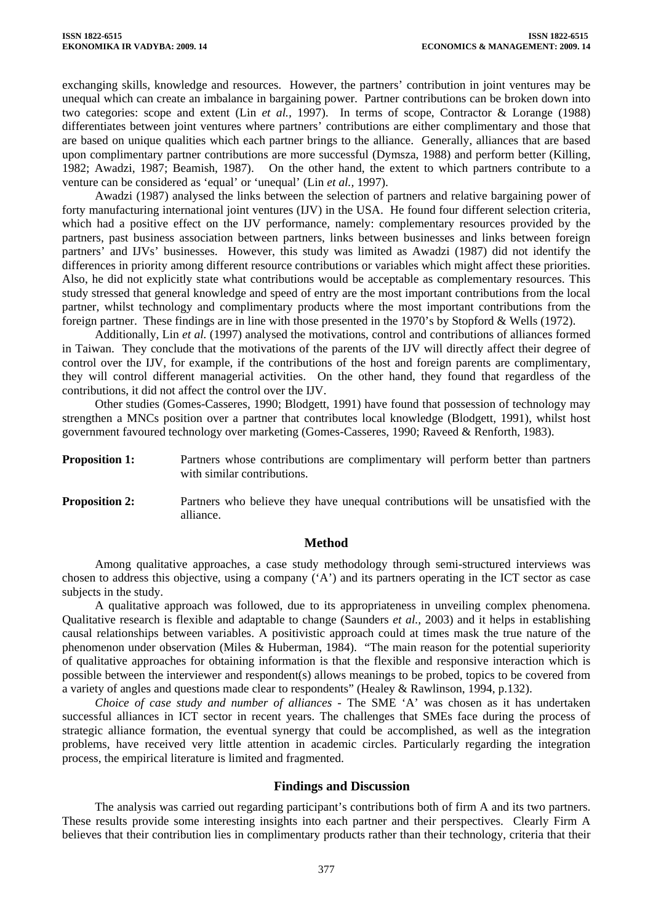exchanging skills, knowledge and resources. However, the partners' contribution in joint ventures may be unequal which can create an imbalance in bargaining power. Partner contributions can be broken down into two categories: scope and extent (Lin *et al.,* 1997). In terms of scope, Contractor & Lorange (1988) differentiates between joint ventures where partners' contributions are either complimentary and those that are based on unique qualities which each partner brings to the alliance. Generally, alliances that are based upon complimentary partner contributions are more successful (Dymsza, 1988) and perform better (Killing, 1982; Awadzi, 1987; Beamish, 1987). On the other hand, the extent to which partners contribute to a venture can be considered as 'equal' or 'unequal' (Lin *et al.,* 1997).

Awadzi (1987) analysed the links between the selection of partners and relative bargaining power of forty manufacturing international joint ventures (IJV) in the USA. He found four different selection criteria, which had a positive effect on the IJV performance, namely: complementary resources provided by the partners, past business association between partners, links between businesses and links between foreign partners' and IJVs' businesses. However, this study was limited as Awadzi (1987) did not identify the differences in priority among different resource contributions or variables which might affect these priorities. Also, he did not explicitly state what contributions would be acceptable as complementary resources. This study stressed that general knowledge and speed of entry are the most important contributions from the local partner, whilst technology and complimentary products where the most important contributions from the foreign partner. These findings are in line with those presented in the 1970's by Stopford & Wells (1972).

Additionally, Lin *et al.* (1997) analysed the motivations, control and contributions of alliances formed in Taiwan. They conclude that the motivations of the parents of the IJV will directly affect their degree of control over the IJV, for example, if the contributions of the host and foreign parents are complimentary, they will control different managerial activities. On the other hand, they found that regardless of the contributions, it did not affect the control over the IJV.

Other studies (Gomes-Casseres, 1990; Blodgett, 1991) have found that possession of technology may strengthen a MNCs position over a partner that contributes local knowledge (Blodgett, 1991), whilst host government favoured technology over marketing (Gomes-Casseres, 1990; Raveed & Renforth, 1983).

- **Proposition 1:** Partners whose contributions are complimentary will perform better than partners with similar contributions.
- **Proposition 2:** Partners who believe they have unequal contributions will be unsatisfied with the alliance.

# **Method**

Among qualitative approaches, a case study methodology through semi-structured interviews was chosen to address this objective, using a company ('A') and its partners operating in the ICT sector as case subjects in the study.

A qualitative approach was followed, due to its appropriateness in unveiling complex phenomena. Qualitative research is flexible and adaptable to change (Saunders *et al.,* 2003) and it helps in establishing causal relationships between variables. A positivistic approach could at times mask the true nature of the phenomenon under observation (Miles & Huberman, 1984). "The main reason for the potential superiority of qualitative approaches for obtaining information is that the flexible and responsive interaction which is possible between the interviewer and respondent(s) allows meanings to be probed, topics to be covered from a variety of angles and questions made clear to respondents" (Healey & Rawlinson, 1994, p.132).

*Choice of case study and number of alliances -* The SME 'A' was chosen as it has undertaken successful alliances in ICT sector in recent years. The challenges that SMEs face during the process of strategic alliance formation, the eventual synergy that could be accomplished, as well as the integration problems, have received very little attention in academic circles. Particularly regarding the integration process, the empirical literature is limited and fragmented.

# **Findings and Discussion**

The analysis was carried out regarding participant's contributions both of firm A and its two partners. These results provide some interesting insights into each partner and their perspectives. Clearly Firm A believes that their contribution lies in complimentary products rather than their technology, criteria that their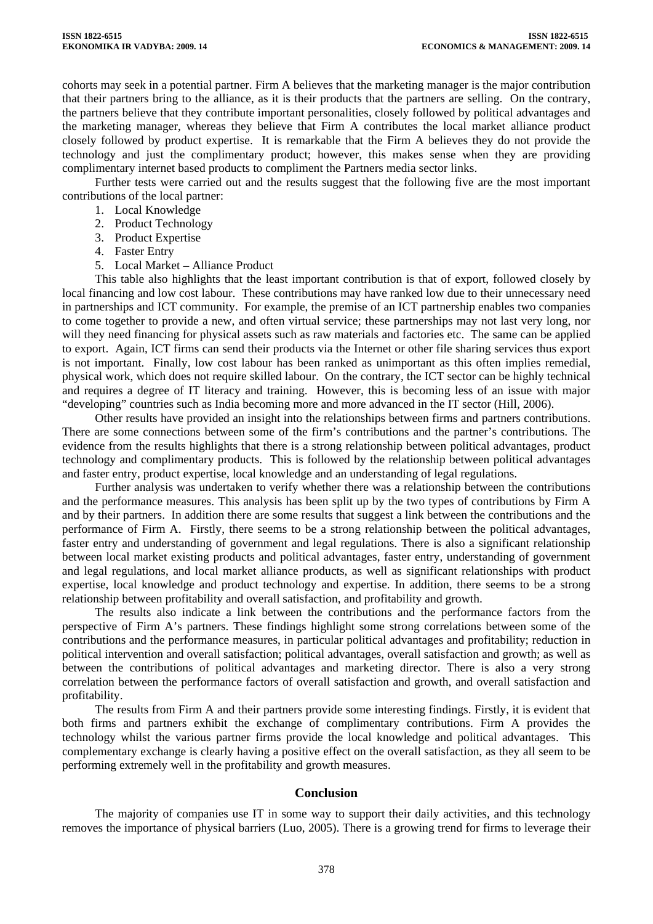cohorts may seek in a potential partner. Firm A believes that the marketing manager is the major contribution that their partners bring to the alliance, as it is their products that the partners are selling. On the contrary, the partners believe that they contribute important personalities, closely followed by political advantages and the marketing manager, whereas they believe that Firm A contributes the local market alliance product closely followed by product expertise. It is remarkable that the Firm A believes they do not provide the technology and just the complimentary product; however, this makes sense when they are providing complimentary internet based products to compliment the Partners media sector links.

Further tests were carried out and the results suggest that the following five are the most important contributions of the local partner:

- 1. Local Knowledge
- 2. Product Technology
- 3. Product Expertise
- 4. Faster Entry
- 5. Local Market Alliance Product

This table also highlights that the least important contribution is that of export, followed closely by local financing and low cost labour. These contributions may have ranked low due to their unnecessary need in partnerships and ICT community. For example, the premise of an ICT partnership enables two companies to come together to provide a new, and often virtual service; these partnerships may not last very long, nor will they need financing for physical assets such as raw materials and factories etc. The same can be applied to export. Again, ICT firms can send their products via the Internet or other file sharing services thus export is not important. Finally, low cost labour has been ranked as unimportant as this often implies remedial, physical work, which does not require skilled labour. On the contrary, the ICT sector can be highly technical and requires a degree of IT literacy and training. However, this is becoming less of an issue with major "developing" countries such as India becoming more and more advanced in the IT sector (Hill, 2006).

Other results have provided an insight into the relationships between firms and partners contributions. There are some connections between some of the firm's contributions and the partner's contributions. The evidence from the results highlights that there is a strong relationship between political advantages, product technology and complimentary products. This is followed by the relationship between political advantages and faster entry, product expertise, local knowledge and an understanding of legal regulations.

Further analysis was undertaken to verify whether there was a relationship between the contributions and the performance measures. This analysis has been split up by the two types of contributions by Firm A and by their partners. In addition there are some results that suggest a link between the contributions and the performance of Firm A. Firstly, there seems to be a strong relationship between the political advantages, faster entry and understanding of government and legal regulations. There is also a significant relationship between local market existing products and political advantages, faster entry, understanding of government and legal regulations, and local market alliance products, as well as significant relationships with product expertise, local knowledge and product technology and expertise. In addition, there seems to be a strong relationship between profitability and overall satisfaction, and profitability and growth.

The results also indicate a link between the contributions and the performance factors from the perspective of Firm A's partners. These findings highlight some strong correlations between some of the contributions and the performance measures, in particular political advantages and profitability; reduction in political intervention and overall satisfaction; political advantages, overall satisfaction and growth; as well as between the contributions of political advantages and marketing director. There is also a very strong correlation between the performance factors of overall satisfaction and growth, and overall satisfaction and profitability.

The results from Firm A and their partners provide some interesting findings. Firstly, it is evident that both firms and partners exhibit the exchange of complimentary contributions. Firm A provides the technology whilst the various partner firms provide the local knowledge and political advantages. This complementary exchange is clearly having a positive effect on the overall satisfaction, as they all seem to be performing extremely well in the profitability and growth measures.

# **Conclusion**

The majority of companies use IT in some way to support their daily activities, and this technology removes the importance of physical barriers (Luo, 2005). There is a growing trend for firms to leverage their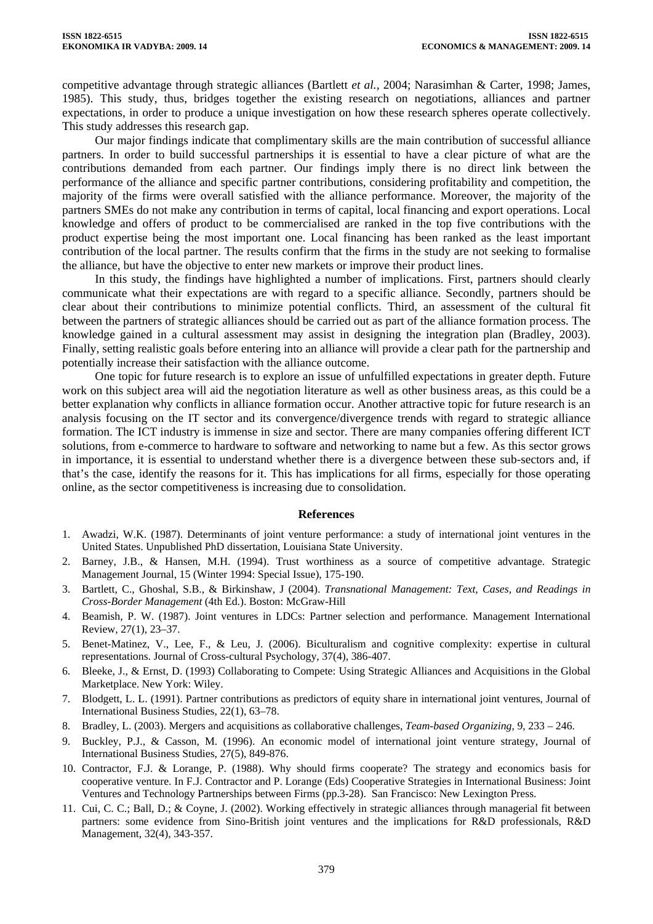competitive advantage through strategic alliances (Bartlett *et al.,* 2004; Narasimhan & Carter, 1998; James, 1985). This study, thus, bridges together the existing research on negotiations, alliances and partner expectations, in order to produce a unique investigation on how these research spheres operate collectively. This study addresses this research gap.

Our major findings indicate that complimentary skills are the main contribution of successful alliance partners. In order to build successful partnerships it is essential to have a clear picture of what are the contributions demanded from each partner. Our findings imply there is no direct link between the performance of the alliance and specific partner contributions, considering profitability and competition, the majority of the firms were overall satisfied with the alliance performance. Moreover, the majority of the partners SMEs do not make any contribution in terms of capital, local financing and export operations. Local knowledge and offers of product to be commercialised are ranked in the top five contributions with the product expertise being the most important one. Local financing has been ranked as the least important contribution of the local partner. The results confirm that the firms in the study are not seeking to formalise the alliance, but have the objective to enter new markets or improve their product lines.

In this study, the findings have highlighted a number of implications. First, partners should clearly communicate what their expectations are with regard to a specific alliance. Secondly, partners should be clear about their contributions to minimize potential conflicts. Third, an assessment of the cultural fit between the partners of strategic alliances should be carried out as part of the alliance formation process. The knowledge gained in a cultural assessment may assist in designing the integration plan (Bradley, 2003). Finally, setting realistic goals before entering into an alliance will provide a clear path for the partnership and potentially increase their satisfaction with the alliance outcome.

One topic for future research is to explore an issue of unfulfilled expectations in greater depth. Future work on this subject area will aid the negotiation literature as well as other business areas, as this could be a better explanation why conflicts in alliance formation occur. Another attractive topic for future research is an analysis focusing on the IT sector and its convergence/divergence trends with regard to strategic alliance formation. The ICT industry is immense in size and sector. There are many companies offering different ICT solutions, from e-commerce to hardware to software and networking to name but a few. As this sector grows in importance, it is essential to understand whether there is a divergence between these sub-sectors and, if that's the case, identify the reasons for it. This has implications for all firms, especially for those operating online, as the sector competitiveness is increasing due to consolidation.

#### **References**

- 1. Awadzi, W.K. (1987). Determinants of joint venture performance: a study of international joint ventures in the United States. Unpublished PhD dissertation, Louisiana State University.
- 2. Barney, J.B., & Hansen, M.H. (1994). Trust worthiness as a source of competitive advantage. Strategic Management Journal, 15 (Winter 1994: Special Issue), 175-190.
- 3. Bartlett, C., Ghoshal, S.B., & Birkinshaw, J (2004). *Transnational Management: Text, Cases, and Readings in Cross-Border Management* (4th Ed.). Boston: McGraw-Hill
- 4. Beamish, P. W. (1987). Joint ventures in LDCs: Partner selection and performance. Management International Review, 27(1), 23–37.
- 5. Benet-Matinez, V., Lee, F., & Leu, J. (2006). Biculturalism and cognitive complexity: expertise in cultural representations. Journal of Cross-cultural Psychology, 37(4), 386-407.
- 6. Bleeke, J., & Ernst, D. (1993) Collaborating to Compete: Using Strategic Alliances and Acquisitions in the Global Marketplace. New York: Wiley.
- 7. Blodgett, L. L. (1991). Partner contributions as predictors of equity share in international joint ventures, Journal of International Business Studies, 22(1), 63–78.
- 8. Bradley, L. (2003). Mergers and acquisitions as collaborative challenges, *Team-based Organizing*, 9, 233 246.
- 9. Buckley, P.J., & Casson, M. (1996). An economic model of international joint venture strategy, Journal of International Business Studies, 27(5), 849-876.
- 10. Contractor, F.J. & Lorange, P. (1988). Why should firms cooperate? The strategy and economics basis for cooperative venture. In F.J. Contractor and P. Lorange (Eds) Cooperative Strategies in International Business: Joint Ventures and Technology Partnerships between Firms (pp.3-28). San Francisco: New Lexington Press.
- 11. Cui, C. C.; Ball, D.; & Coyne, J. (2002). Working effectively in strategic alliances through managerial fit between partners: some evidence from Sino-British joint ventures and the implications for R&D professionals, R&D Management, 32(4), 343-357.